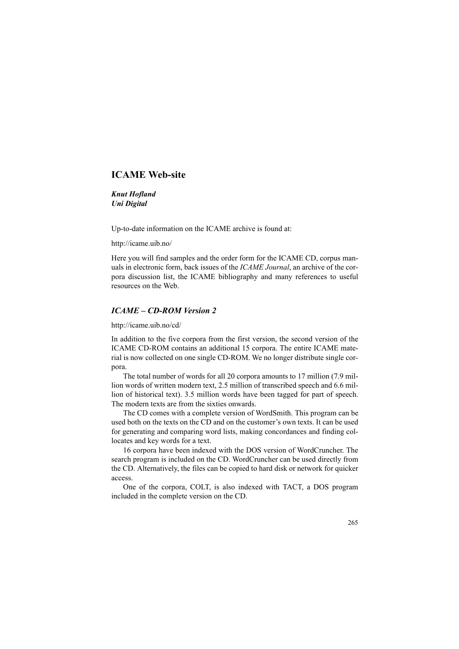## **ICAME Web-site**

*Knut Hofland Uni Digital*

Up-to-date information on the ICAME archive is found at:

http://icame.uib.no/

Here you will find samples and the order form for the ICAME CD, corpus manuals in electronic form, back issues of the *ICAME Journal*, an archive of the corpora discussion list, the ICAME bibliography and many references to useful resources on the Web.

## *ICAME – CD-ROM Version 2*

http://icame.uib.no/cd/

In addition to the five corpora from the first version, the second version of the ICAME CD-ROM contains an additional 15 corpora. The entire ICAME material is now collected on one single CD-ROM. We no longer distribute single corpora.

The total number of words for all 20 corpora amounts to 17 million (7.9 million words of written modern text, 2.5 million of transcribed speech and 6.6 million of historical text). 3.5 million words have been tagged for part of speech. The modern texts are from the sixties onwards.

The CD comes with a complete version of WordSmith. This program can be used both on the texts on the CD and on the customer's own texts. It can be used for generating and comparing word lists, making concordances and finding collocates and key words for a text.

16 corpora have been indexed with the DOS version of WordCruncher. The search program is included on the CD. WordCruncher can be used directly from the CD. Alternatively, the files can be copied to hard disk or network for quicker access.

One of the corpora, COLT, is also indexed with TACT, a DOS program included in the complete version on the CD.